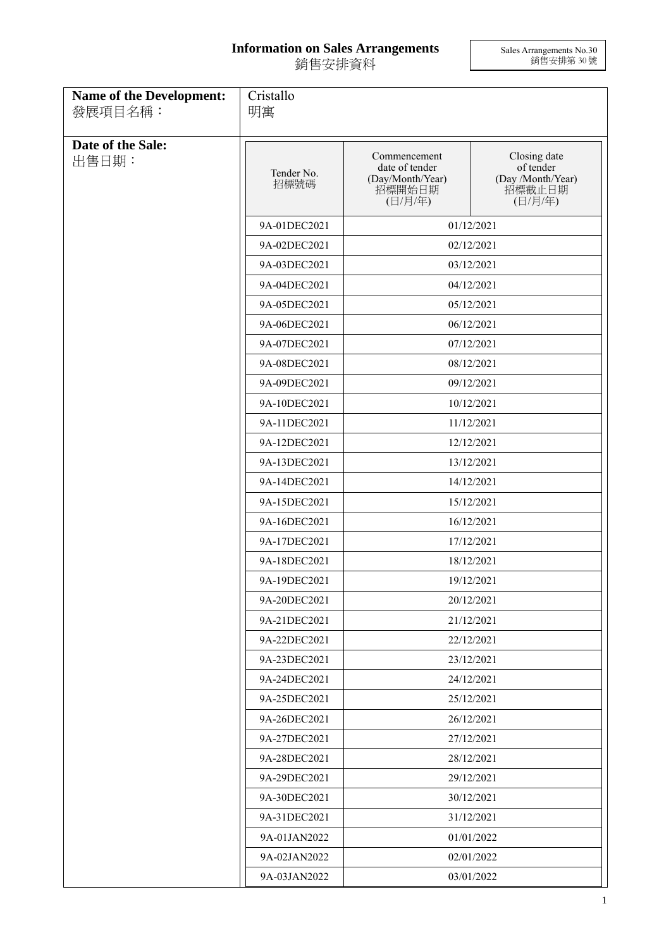## **Information on Sales Arrangements** 銷售安排資料

Sales Arrangements No.30 銷售安排第 30 號

| Name of the Development:<br>發展項目名稱: | Cristallo<br>明寓    |                                                                         |                                                                     |  |
|-------------------------------------|--------------------|-------------------------------------------------------------------------|---------------------------------------------------------------------|--|
|                                     |                    |                                                                         |                                                                     |  |
| Date of the Sale:<br>出售日期:          | Tender No.<br>招標號碼 | Commencement<br>date of tender<br>(Day/Month/Year)<br>招標開始日期<br>(日/月/年) | Closing date<br>of tender<br>(Day /Month/Year)<br>招標截止日期<br>(日/月/年) |  |
|                                     | 9A-01DEC2021       |                                                                         | 01/12/2021                                                          |  |
|                                     | 9A-02DEC2021       | 02/12/2021                                                              |                                                                     |  |
|                                     | 9A-03DEC2021       | 03/12/2021                                                              |                                                                     |  |
|                                     | 9A-04DEC2021       | 04/12/2021                                                              |                                                                     |  |
|                                     | 9A-05DEC2021       |                                                                         | 05/12/2021                                                          |  |
|                                     | 9A-06DEC2021       |                                                                         | 06/12/2021                                                          |  |
|                                     | 9A-07DEC2021       |                                                                         | 07/12/2021                                                          |  |
|                                     | 9A-08DEC2021       |                                                                         | 08/12/2021                                                          |  |
|                                     | 9A-09DEC2021       |                                                                         | 09/12/2021                                                          |  |
|                                     | 9A-10DEC2021       |                                                                         | 10/12/2021                                                          |  |
|                                     | 9A-11DEC2021       | 11/12/2021                                                              |                                                                     |  |
|                                     | 9A-12DEC2021       | 12/12/2021                                                              |                                                                     |  |
|                                     | 9A-13DEC2021       | 13/12/2021                                                              |                                                                     |  |
|                                     | 9A-14DEC2021       |                                                                         | 14/12/2021                                                          |  |
|                                     | 9A-15DEC2021       |                                                                         | 15/12/2021                                                          |  |
|                                     | 9A-16DEC2021       |                                                                         | 16/12/2021                                                          |  |
|                                     | 9A-17DEC2021       |                                                                         | 17/12/2021                                                          |  |
|                                     | 9A-18DEC2021       |                                                                         | 18/12/2021                                                          |  |
|                                     | 9A-19DEC2021       |                                                                         | 19/12/2021                                                          |  |
|                                     | 9A-20DEC2021       | 20/12/2021                                                              |                                                                     |  |
|                                     | 9A-21DEC2021       |                                                                         | 21/12/2021                                                          |  |
|                                     | 9A-22DEC2021       |                                                                         | 22/12/2021                                                          |  |
|                                     | 9A-23DEC2021       |                                                                         | 23/12/2021                                                          |  |
|                                     | 9A-24DEC2021       |                                                                         | 24/12/2021                                                          |  |
|                                     | 9A-25DEC2021       |                                                                         | 25/12/2021                                                          |  |
|                                     | 9A-26DEC2021       |                                                                         | 26/12/2021                                                          |  |
|                                     | 9A-27DEC2021       |                                                                         | 27/12/2021                                                          |  |
|                                     | 9A-28DEC2021       |                                                                         | 28/12/2021                                                          |  |
|                                     | 9A-29DEC2021       |                                                                         | 29/12/2021                                                          |  |
|                                     | 9A-30DEC2021       |                                                                         | 30/12/2021                                                          |  |
|                                     | 9A-31DEC2021       |                                                                         | 31/12/2021                                                          |  |
|                                     | 9A-01JAN2022       |                                                                         | 01/01/2022                                                          |  |
|                                     | 9A-02JAN2022       |                                                                         | 02/01/2022                                                          |  |
|                                     | 9A-03JAN2022       | 03/01/2022                                                              |                                                                     |  |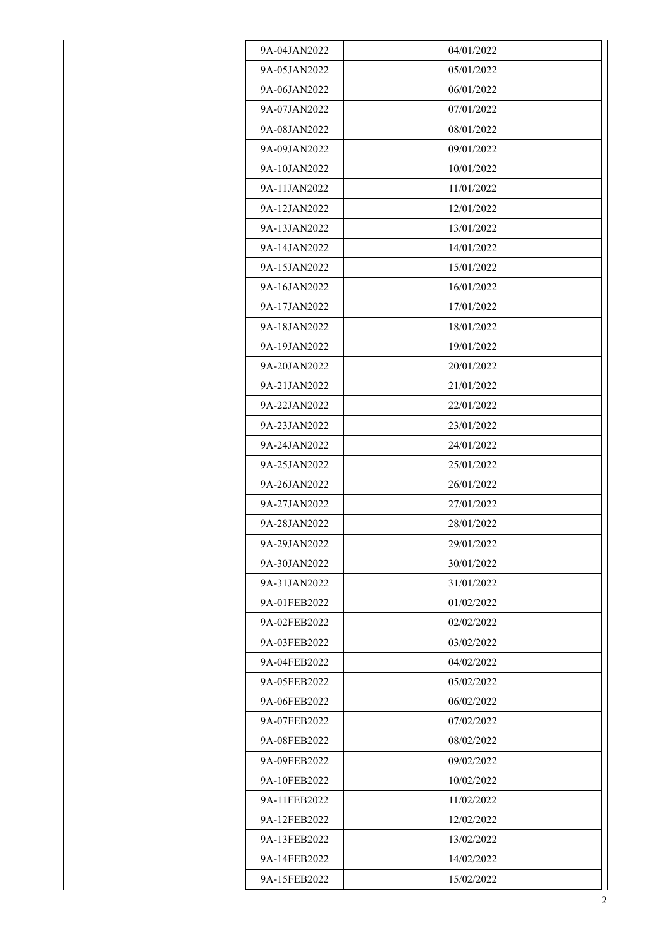| 9A-04JAN2022 | 04/01/2022 |
|--------------|------------|
| 9A-05JAN2022 | 05/01/2022 |
| 9A-06JAN2022 | 06/01/2022 |
| 9A-07JAN2022 | 07/01/2022 |
| 9A-08JAN2022 | 08/01/2022 |
| 9A-09JAN2022 | 09/01/2022 |
| 9A-10JAN2022 | 10/01/2022 |
| 9A-11JAN2022 | 11/01/2022 |
| 9A-12JAN2022 | 12/01/2022 |
| 9A-13JAN2022 | 13/01/2022 |
| 9A-14JAN2022 | 14/01/2022 |
| 9A-15JAN2022 | 15/01/2022 |
| 9A-16JAN2022 | 16/01/2022 |
| 9A-17JAN2022 | 17/01/2022 |
| 9A-18JAN2022 | 18/01/2022 |
| 9A-19JAN2022 | 19/01/2022 |
| 9A-20JAN2022 | 20/01/2022 |
| 9A-21JAN2022 | 21/01/2022 |
| 9A-22JAN2022 | 22/01/2022 |
| 9A-23JAN2022 | 23/01/2022 |
| 9A-24JAN2022 | 24/01/2022 |
| 9A-25JAN2022 | 25/01/2022 |
| 9A-26JAN2022 | 26/01/2022 |
| 9A-27JAN2022 | 27/01/2022 |
| 9A-28JAN2022 | 28/01/2022 |
| 9A-29JAN2022 | 29/01/2022 |
| 9A-30JAN2022 | 30/01/2022 |
| 9A-31JAN2022 | 31/01/2022 |
| 9A-01FEB2022 | 01/02/2022 |
| 9A-02FEB2022 | 02/02/2022 |
| 9A-03FEB2022 | 03/02/2022 |
| 9A-04FEB2022 | 04/02/2022 |
| 9A-05FEB2022 | 05/02/2022 |
| 9A-06FEB2022 | 06/02/2022 |
| 9A-07FEB2022 | 07/02/2022 |
| 9A-08FEB2022 | 08/02/2022 |
| 9A-09FEB2022 | 09/02/2022 |
| 9A-10FEB2022 | 10/02/2022 |
| 9A-11FEB2022 | 11/02/2022 |
| 9A-12FEB2022 | 12/02/2022 |
| 9A-13FEB2022 | 13/02/2022 |
| 9A-14FEB2022 | 14/02/2022 |
| 9A-15FEB2022 | 15/02/2022 |
|              |            |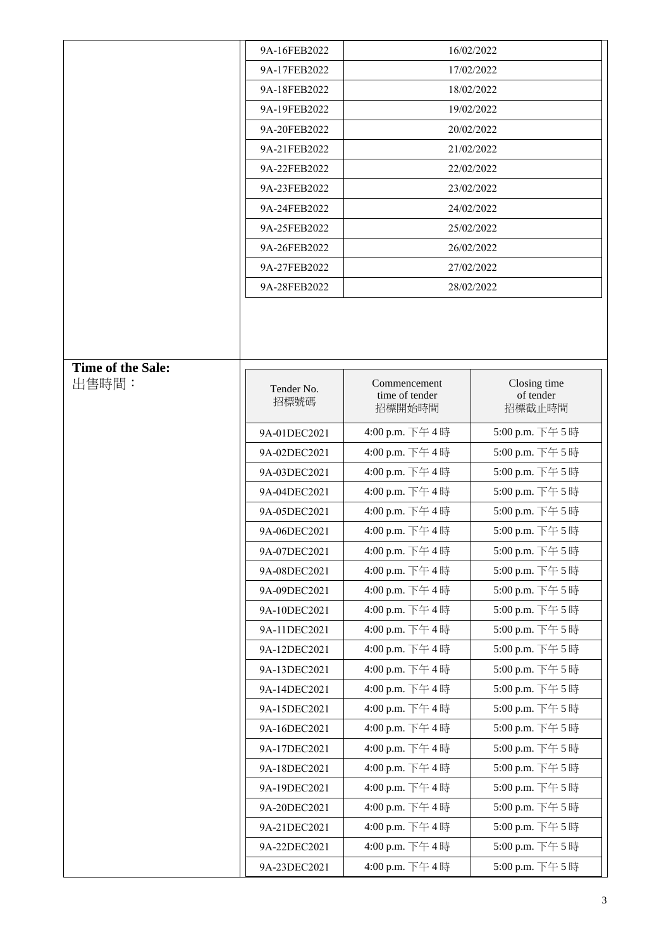|                   | 9A-16FEB2022 | 16/02/2022                     |                           |
|-------------------|--------------|--------------------------------|---------------------------|
|                   | 9A-17FEB2022 |                                | 17/02/2022                |
|                   | 9A-18FEB2022 | 18/02/2022                     |                           |
|                   | 9A-19FEB2022 | 19/02/2022                     |                           |
|                   | 9A-20FEB2022 |                                | 20/02/2022                |
|                   | 9A-21FEB2022 |                                | 21/02/2022                |
|                   | 9A-22FEB2022 |                                | 22/02/2022                |
|                   | 9A-23FEB2022 |                                | 23/02/2022                |
|                   | 9A-24FEB2022 | 24/02/2022                     |                           |
|                   | 9A-25FEB2022 | 25/02/2022                     |                           |
|                   | 9A-26FEB2022 | 26/02/2022                     |                           |
|                   | 9A-27FEB2022 | 27/02/2022                     |                           |
|                   | 9A-28FEB2022 |                                | 28/02/2022                |
|                   |              |                                |                           |
|                   |              |                                |                           |
|                   |              |                                |                           |
| Time of the Sale: |              |                                |                           |
| 出售時間:             | Tender No.   | Commencement<br>time of tender | Closing time<br>of tender |
|                   | 招標號碼         | 招標開始時間                         | 招標截止時間                    |
|                   | 9A-01DEC2021 | 4:00 p.m. 下午4時                 | 5:00 p.m. 下午5時            |
|                   | 9A-02DEC2021 | 4:00 p.m. 下午4時                 | 5:00 p.m. 下午5時            |
|                   | 9A-03DEC2021 | 4:00 p.m. 下午4時                 | 5:00 p.m. 下午5時            |
|                   | 9A-04DEC2021 | 4:00 p.m. 下午4時                 | 5:00 p.m. 下午5時            |
|                   | 9A-05DEC2021 | 4:00 p.m. 下午4時                 | 5:00 p.m. 下午5時            |
|                   | 9A-06DEC2021 | 4:00 p.m. 下午4時                 | 5:00 p.m. 下午5時            |
|                   | 9A-07DEC2021 | 4:00 p.m. 下午4時                 | 5:00 p.m. 下午5時            |
|                   | 9A-08DEC2021 | 4:00 p.m. 下午4時                 | 5:00 p.m. 下午5時            |
|                   | 9A-09DEC2021 | 4:00 p.m. 下午4時                 | 5:00 p.m. 下午5時            |
|                   | 9A-10DEC2021 | 4:00 p.m. 下午4時                 | 5:00 p.m. 下午5時            |
|                   | 9A-11DEC2021 | 4:00 p.m. 下午4時                 | 5:00 p.m. 下午5時            |
|                   | 9A-12DEC2021 | 4:00 p.m. 下午4時                 | 5:00 p.m. 下午5時            |
|                   | 9A-13DEC2021 | 4:00 p.m. 下午4時                 | 5:00 p.m. 下午5時            |
|                   | 9A-14DEC2021 | 4:00 p.m. 下午4時                 | 5:00 p.m. 下午5時            |
|                   | 9A-15DEC2021 | 4:00 p.m. 下午4時                 | 5:00 p.m. 下午5時            |
|                   | 9A-16DEC2021 | 4:00 p.m. 下午4時                 | 5:00 p.m. 下午5時            |
|                   | 9A-17DEC2021 | 4:00 p.m. 下午4時                 | 5:00 p.m. 下午5時            |
|                   | 9A-18DEC2021 | 4:00 p.m. 下午4時                 | 5:00 p.m. 下午5時            |
|                   | 9A-19DEC2021 | 4:00 p.m. 下午4時                 | 5:00 p.m. 下午5時            |
|                   | 9A-20DEC2021 | 4:00 p.m. 下午4時                 | 5:00 p.m. 下午5時            |
|                   | 9A-21DEC2021 | 4:00 p.m. 下午4時                 | 5:00 p.m. 下午5時            |
|                   | 9A-22DEC2021 | 4:00 p.m. 下午4時                 | 5:00 p.m. 下午5時            |
|                   | 9A-23DEC2021 | 4:00 p.m. 下午4時                 | 5:00 p.m. 下午5時            |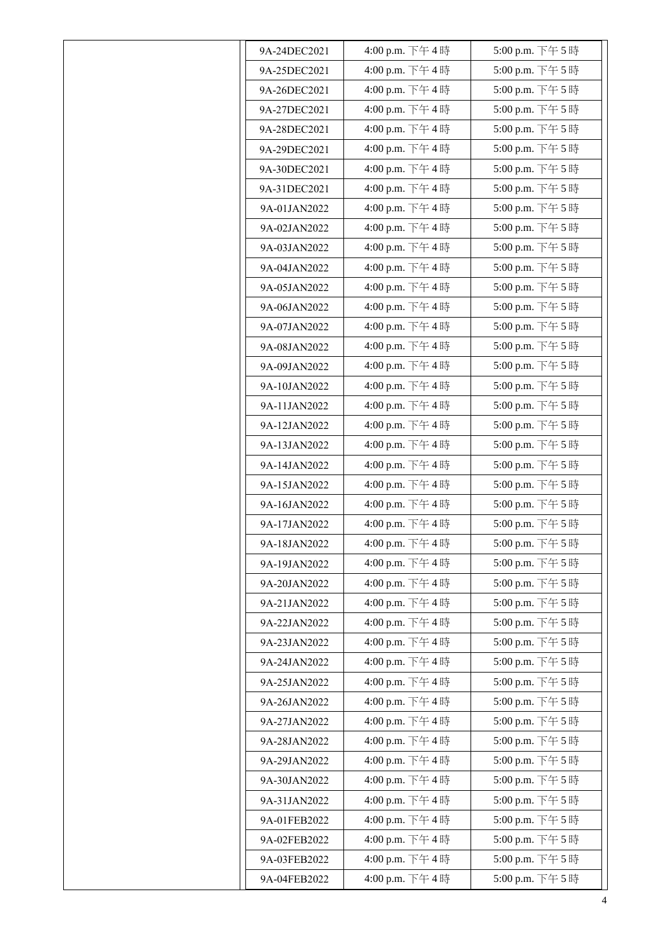| 9A-24DEC2021 | 4:00 p.m. 下午4時 | 5:00 p.m. 下午5時   |
|--------------|----------------|------------------|
| 9A-25DEC2021 | 4:00 p.m. 下午4時 | 5:00 p.m. 下午5時   |
| 9A-26DEC2021 | 4:00 p.m. 下午4時 | 5:00 p.m. 下午5時   |
| 9A-27DEC2021 | 4:00 p.m. 下午4時 | 5:00 p.m. 下午5時   |
|              | 4:00 p.m. 下午4時 | 5:00 p.m. 下午5時   |
| 9A-28DEC2021 |                |                  |
| 9A-29DEC2021 | 4:00 p.m. 下午4時 | 5:00 p.m. 下午5時   |
| 9A-30DEC2021 | 4:00 p.m. 下午4時 | 5:00 p.m. 下午5時   |
| 9A-31DEC2021 | 4:00 p.m. 下午4時 | 5:00 p.m. 下午5時   |
| 9A-01JAN2022 | 4:00 p.m. 下午4時 | 5:00 p.m. 下午5時   |
| 9A-02JAN2022 | 4:00 p.m. 下午4時 | 5:00 p.m. 下午5時   |
| 9A-03JAN2022 | 4:00 p.m. 下午4時 | 5:00 p.m. 下午5時   |
| 9A-04JAN2022 | 4:00 p.m. 下午4時 | 5:00 p.m. 下午5時   |
| 9A-05JAN2022 | 4:00 p.m. 下午4時 | 5:00 p.m. 下午5時   |
| 9A-06JAN2022 | 4:00 p.m. 下午4時 | 5:00 p.m. 下午5時   |
| 9A-07JAN2022 | 4:00 p.m. 下午4時 | 5:00 p.m. 下午5時   |
| 9A-08JAN2022 | 4:00 p.m. 下午4時 | 5:00 p.m. 下午5時   |
| 9A-09JAN2022 | 4:00 p.m. 下午4時 | 5:00 p.m. 下午5時   |
| 9A-10JAN2022 | 4:00 p.m. 下午4時 | 5:00 p.m. 下午5時   |
| 9A-11JAN2022 | 4:00 p.m. 下午4時 | 5:00 p.m. 下午5時   |
| 9A-12JAN2022 | 4:00 p.m. 下午4時 | 5:00 p.m. 下午5時   |
| 9A-13JAN2022 | 4:00 p.m. 下午4時 | 5:00 p.m. 下午5時   |
| 9A-14JAN2022 | 4:00 p.m. 下午4時 | 5:00 p.m. 下午5時   |
| 9A-15JAN2022 | 4:00 p.m. 下午4時 | 5:00 p.m. 下午5時   |
| 9A-16JAN2022 | 4:00 p.m. 下午4時 | 5:00 p.m. 下午5時   |
| 9A-17JAN2022 | 4:00 p.m. 下午4時 | 5:00 p.m. 下午5時   |
| 9A-18JAN2022 | 4:00 p.m. 下午4時 | 5:00 p.m. 下午 5 時 |
| 9A-19JAN2022 | 4:00 p.m. 下午4時 | 5:00 p.m. 下午5時   |
| 9A-20JAN2022 | 4:00 p.m. 下午4時 | 5:00 p.m. 下午5時   |
| 9A-21JAN2022 | 4:00 p.m. 下午4時 | 5:00 p.m. 下午5時   |
| 9A-22JAN2022 | 4:00 p.m. 下午4時 | 5:00 p.m. 下午5時   |
| 9A-23JAN2022 | 4:00 p.m. 下午4時 | 5:00 p.m. 下午5時   |
| 9A-24JAN2022 | 4:00 p.m. 下午4時 | 5:00 p.m. 下午5時   |
| 9A-25JAN2022 | 4:00 p.m. 下午4時 | 5:00 p.m. 下午5時   |
| 9A-26JAN2022 | 4:00 p.m. 下午4時 | 5:00 p.m. 下午5時   |
| 9A-27JAN2022 | 4:00 p.m. 下午4時 | 5:00 p.m. 下午5時   |
| 9A-28JAN2022 | 4:00 p.m. 下午4時 | 5:00 p.m. 下午5時   |
| 9A-29JAN2022 | 4:00 p.m. 下午4時 | 5:00 p.m. 下午5時   |
| 9A-30JAN2022 | 4:00 p.m. 下午4時 | 5:00 p.m. 下午5時   |
| 9A-31JAN2022 | 4:00 p.m. 下午4時 | 5:00 p.m. 下午5時   |
| 9A-01FEB2022 | 4:00 p.m. 下午4時 | 5:00 p.m. 下午5時   |
| 9A-02FEB2022 | 4:00 p.m. 下午4時 | 5:00 p.m. 下午5時   |
| 9A-03FEB2022 | 4:00 p.m. 下午4時 | 5:00 p.m. 下午5時   |
| 9A-04FEB2022 | 4:00 p.m. 下午4時 | 5:00 p.m. 下午5時   |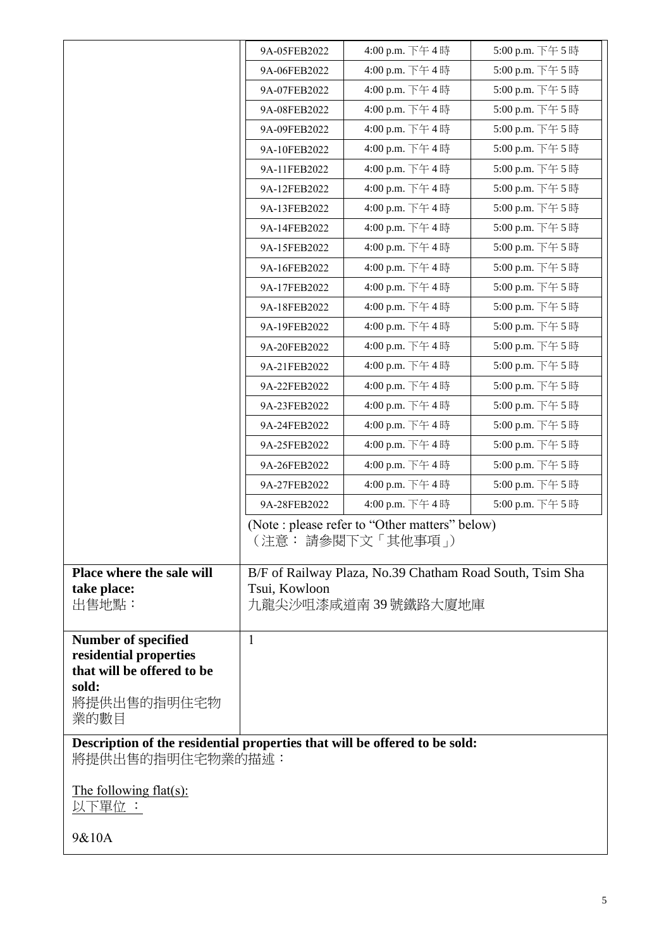|                                                                            | 9A-05FEB2022  | 4:00 p.m. 下午4時                                                       | 5:00 p.m. 下午5時  |
|----------------------------------------------------------------------------|---------------|----------------------------------------------------------------------|-----------------|
|                                                                            | 9A-06FEB2022  | 4:00 p.m. 下午4時                                                       | 5:00 p.m. 下午5時  |
|                                                                            | 9A-07FEB2022  | 4:00 p.m. 下午4時                                                       | 5:00 p.m. 下午5時  |
|                                                                            | 9A-08FEB2022  | 4:00 p.m. 下午4時                                                       | 5:00 p.m. 下午5時  |
|                                                                            | 9A-09FEB2022  | 4:00 p.m. 下午4時                                                       | 5:00 p.m. 下午5時  |
|                                                                            | 9A-10FEB2022  | 4:00 p.m. 下午4時                                                       | 5:00 p.m. 下午 5時 |
|                                                                            | 9A-11FEB2022  | 4:00 p.m. 下午4時                                                       | 5:00 p.m. 下午5時  |
|                                                                            | 9A-12FEB2022  | 4:00 p.m. 下午4時                                                       | 5:00 p.m. 下午5時  |
|                                                                            | 9A-13FEB2022  | 4:00 p.m. 下午4時                                                       | 5:00 p.m. 下午5時  |
|                                                                            | 9A-14FEB2022  | 4:00 p.m. 下午4時                                                       | 5:00 p.m. 下午5時  |
|                                                                            | 9A-15FEB2022  | 4:00 p.m. 下午4時                                                       | 5:00 p.m. 下午5時  |
|                                                                            | 9A-16FEB2022  | 4:00 p.m. 下午4時                                                       | 5:00 p.m. 下午5時  |
|                                                                            | 9A-17FEB2022  | 4:00 p.m. 下午4時                                                       | 5:00 p.m. 下午5時  |
|                                                                            | 9A-18FEB2022  | 4:00 p.m. 下午4時                                                       | 5:00 p.m. 下午5時  |
|                                                                            | 9A-19FEB2022  | 4:00 p.m. 下午4時                                                       | 5:00 p.m. 下午5時  |
|                                                                            | 9A-20FEB2022  | 4:00 p.m. 下午4時                                                       | 5:00 p.m. 下午5時  |
|                                                                            | 9A-21FEB2022  | 4:00 p.m. 下午4時                                                       | 5:00 p.m. 下午5時  |
|                                                                            | 9A-22FEB2022  | 4:00 p.m. 下午4時                                                       | 5:00 p.m. 下午 5時 |
|                                                                            | 9A-23FEB2022  | 4:00 p.m. 下午4時                                                       | 5:00 p.m. 下午5時  |
|                                                                            | 9A-24FEB2022  | 4:00 p.m. 下午4時                                                       | 5:00 p.m. 下午5時  |
|                                                                            | 9A-25FEB2022  | 4:00 p.m. 下午4時                                                       | 5:00 p.m. 下午5時  |
|                                                                            | 9A-26FEB2022  | 4:00 p.m. 下午4時                                                       | 5:00 p.m. 下午5時  |
|                                                                            | 9A-27FEB2022  | 4:00 p.m. 下午4時                                                       | 5:00 p.m. 下午5時  |
|                                                                            | 9A-28FEB2022  | 4:00 p.m. 下午4時                                                       | 5:00 p.m. 下午5時  |
|                                                                            |               | (Note : please refer to "Other matters" below)<br>(注意: 請參閱下文「其他事項 」) |                 |
| Place where the sale will                                                  |               | B/F of Railway Plaza, No.39 Chatham Road South, Tsim Sha             |                 |
| take place:                                                                | Tsui, Kowloon |                                                                      |                 |
| 出售地點:                                                                      |               | 九龍尖沙咀漆咸道南39號鐵路大廈地庫                                                   |                 |
| <b>Number of specified</b>                                                 | $\mathbf{1}$  |                                                                      |                 |
| residential properties                                                     |               |                                                                      |                 |
| that will be offered to be                                                 |               |                                                                      |                 |
| sold:<br>將提供出售的指明住宅物                                                       |               |                                                                      |                 |
| 業的數目                                                                       |               |                                                                      |                 |
| Description of the residential properties that will be offered to be sold: |               |                                                                      |                 |
| 將提供出售的指明住宅物業的描述:                                                           |               |                                                                      |                 |
| The following flat(s):<br>以下單位 :                                           |               |                                                                      |                 |
| 9&10A                                                                      |               |                                                                      |                 |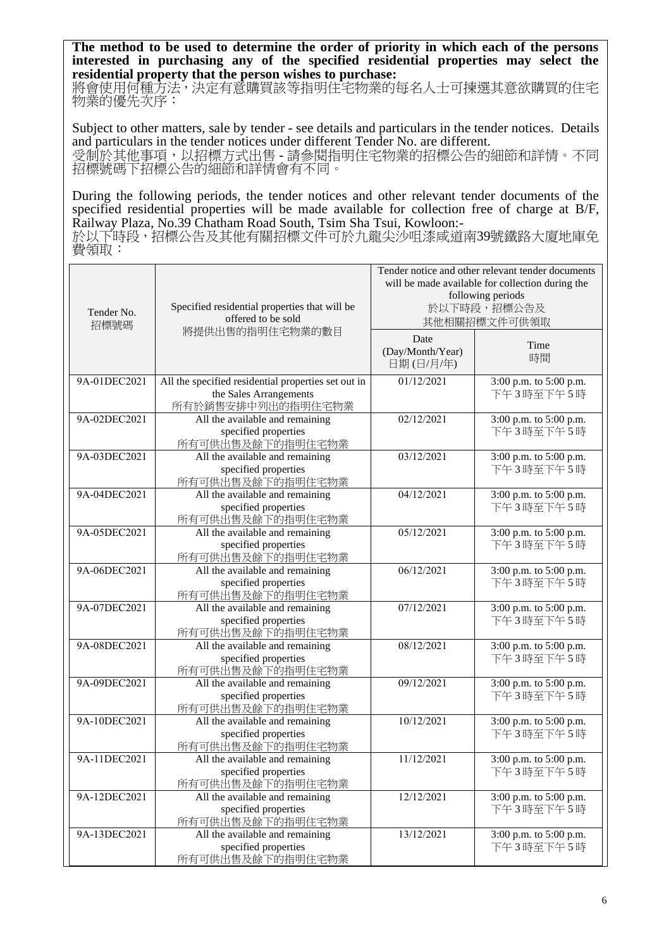**The method to be used to determine the order of priority in which each of the persons interested in purchasing any of the specified residential properties may select the residential property that the person wishes to purchase:** 

將會使用何種方法,決定有意購買該等指明住宅物業的每名人士可揀選其意欲購買的住宅 物業的優先次序:

Subject to other matters, sale by tender - see details and particulars in the tender notices. Details and particulars in the tender notices under different Tender No. are different. 受制於其他事項,以招標方式出售 - 請參閱指明住宅物業的招標公告的細節和詳情。不同 招標號碼下招標公告的細節和詳情會有不同。

During the following periods, the tender notices and other relevant tender documents of the specified residential properties will be made available for collection free of charge at B/F, Railway Plaza, No.39 Chatham Road South, Tsim Sha Tsui, Kowloon:-

於以下時段,招標公告及其他有關招標文件可於九龍尖沙咀漆咸道南39號鐵路大廈地庫免 費領取:

| Specified residential properties that will be<br>Tender No.<br>offered to be sold<br>招標號碼<br>將提供出售的指明住宅物業的數目 |                                                                                                    | Tender notice and other relevant tender documents<br>will be made available for collection during the<br>following periods<br>於以下時段,招標公告及<br>其他相關招標文件可供領取 |                                     |
|--------------------------------------------------------------------------------------------------------------|----------------------------------------------------------------------------------------------------|-----------------------------------------------------------------------------------------------------------------------------------------------------------|-------------------------------------|
|                                                                                                              |                                                                                                    | Date<br>(Day/Month/Year)<br>日期(日/月/年)                                                                                                                     | Time<br>時間                          |
| 9A-01DEC2021                                                                                                 | All the specified residential properties set out in<br>the Sales Arrangements<br>所有於銷售安排中列出的指明住宅物業 | 01/12/2021                                                                                                                                                | 3:00 p.m. to 5:00 p.m.<br>下午3時至下午5時 |
| 9A-02DEC2021                                                                                                 | All the available and remaining<br>specified properties<br>所有可供出售及餘下的指明住宅物業                        | 02/12/2021                                                                                                                                                | 3:00 p.m. to 5:00 p.m.<br>下午3時至下午5時 |
| 9A-03DEC2021                                                                                                 | All the available and remaining<br>specified properties<br>所有可供出售及餘下的指明住宅物業                        | 03/12/2021                                                                                                                                                | 3:00 p.m. to 5:00 p.m.<br>下午3時至下午5時 |
| 9A-04DEC2021                                                                                                 | All the available and remaining<br>specified properties<br>所有可供出售及餘下的指明住宅物業                        | 04/12/2021                                                                                                                                                | 3:00 p.m. to 5:00 p.m.<br>下午3時至下午5時 |
| 9A-05DEC2021                                                                                                 | All the available and remaining<br>specified properties<br>所有可供出售及餘下的指明住宅物業                        | 05/12/2021                                                                                                                                                | 3:00 p.m. to 5:00 p.m.<br>下午3時至下午5時 |
| 9A-06DEC2021                                                                                                 | All the available and remaining<br>specified properties<br>所有可供出售及餘下的指明住宅物業                        | 06/12/2021                                                                                                                                                | 3:00 p.m. to 5:00 p.m.<br>下午3時至下午5時 |
| 9A-07DEC2021                                                                                                 | All the available and remaining<br>specified properties<br>所有可供出售及餘下的指明住宅物業                        | 07/12/2021                                                                                                                                                | 3:00 p.m. to 5:00 p.m.<br>下午3時至下午5時 |
| 9A-08DEC2021                                                                                                 | All the available and remaining<br>specified properties<br>所有可供出售及餘下的指明住宅物業                        | 08/12/2021                                                                                                                                                | 3:00 p.m. to 5:00 p.m.<br>下午3時至下午5時 |
| 9A-09DEC2021                                                                                                 | All the available and remaining<br>specified properties<br>所有可供出售及餘下的指明住宅物業                        | 09/12/2021                                                                                                                                                | 3:00 p.m. to 5:00 p.m.<br>下午3時至下午5時 |
| 9A-10DEC2021                                                                                                 | All the available and remaining<br>specified properties<br>所有可供出售及餘下的指明住宅物業                        | 10/12/2021                                                                                                                                                | 3:00 p.m. to 5:00 p.m.<br>下午3時至下午5時 |
| 9A-11DEC2021                                                                                                 | All the available and remaining<br>specified properties<br>所有可供出售及餘下的指明住宅物業                        | 11/12/2021                                                                                                                                                | 3:00 p.m. to 5:00 p.m.<br>下午3時至下午5時 |
| 9A-12DEC2021                                                                                                 | All the available and remaining<br>specified properties<br>所有可供出售及餘下的指明住宅物業                        | 12/12/2021                                                                                                                                                | 3:00 p.m. to 5:00 p.m.<br>下午3時至下午5時 |
| 9A-13DEC2021                                                                                                 | All the available and remaining<br>specified properties<br>所有可供出售及餘下的指明住宅物業                        | 13/12/2021                                                                                                                                                | 3:00 p.m. to 5:00 p.m.<br>下午3時至下午5時 |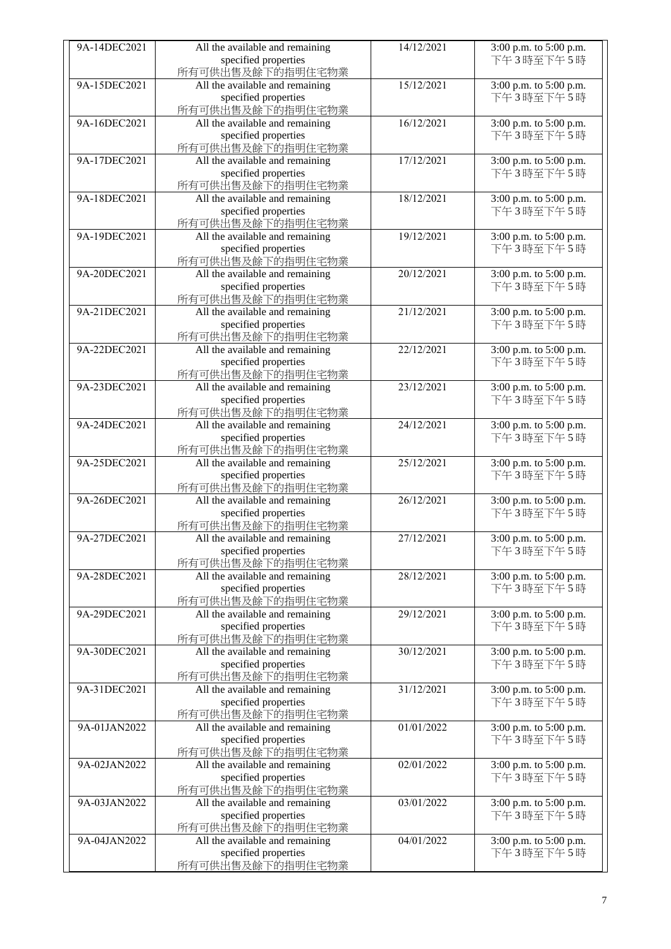| 9A-14DEC2021 | All the available and remaining          | 14/12/2021 | 3:00 p.m. to 5:00 p.m. |
|--------------|------------------------------------------|------------|------------------------|
|              | specified properties                     |            | 下午3時至下午5時              |
|              | 所有可供出售及餘下的指明住宅物業                         |            |                        |
| 9A-15DEC2021 | All the available and remaining          | 15/12/2021 | 3:00 p.m. to 5:00 p.m. |
|              |                                          |            |                        |
|              | specified properties                     |            | 下午3時至下午5時              |
|              | 所有可供出售及餘下的指明住宅物業                         |            |                        |
| 9A-16DEC2021 | All the available and remaining          | 16/12/2021 | 3:00 p.m. to 5:00 p.m. |
|              |                                          |            | 下午3時至下午5時              |
|              | specified properties                     |            |                        |
|              | 所有可供出售及餘下的指明住宅物業                         |            |                        |
| 9A-17DEC2021 | All the available and remaining          | 17/12/2021 | 3:00 p.m. to 5:00 p.m. |
|              | specified properties                     |            | 下午3時至下午5時              |
|              |                                          |            |                        |
|              | 所有可供出售及餘下的指明住宅物業                         |            |                        |
| 9A-18DEC2021 | All the available and remaining          | 18/12/2021 | 3:00 p.m. to 5:00 p.m. |
|              |                                          |            | 下午3時至下午5時              |
|              | specified properties                     |            |                        |
|              | 所有可供出售及餘下的指明住宅物業                         |            |                        |
| 9A-19DEC2021 | All the available and remaining          | 19/12/2021 | 3:00 p.m. to 5:00 p.m. |
|              | specified properties                     |            | 下午3時至下午5時              |
|              |                                          |            |                        |
|              | 所有可供出售及餘下的指明住宅物業                         |            |                        |
| 9A-20DEC2021 | All the available and remaining          | 20/12/2021 | 3:00 p.m. to 5:00 p.m. |
|              | specified properties                     |            | 下午3時至下午5時              |
|              |                                          |            |                        |
|              | 所有可供出售及餘下的指明住宅物業                         |            |                        |
| 9A-21DEC2021 | All the available and remaining          | 21/12/2021 | 3:00 p.m. to 5:00 p.m. |
|              | specified properties                     |            | 下午3時至下午5時              |
|              |                                          |            |                        |
|              | 所有可供出售及餘下的指明住宅物業                         |            |                        |
| 9A-22DEC2021 | All the available and remaining          | 22/12/2021 | 3:00 p.m. to 5:00 p.m. |
|              | specified properties                     |            | 下午3時至下午5時              |
|              | 所有可供出售及餘下的指明住宅物業                         |            |                        |
|              |                                          |            |                        |
| 9A-23DEC2021 | All the available and remaining          | 23/12/2021 | 3:00 p.m. to 5:00 p.m. |
|              | specified properties                     |            | 下午3時至下午5時              |
|              | 所有可供出售及餘下的指明住宅物業                         |            |                        |
|              |                                          |            |                        |
| 9A-24DEC2021 | All the available and remaining          | 24/12/2021 | 3:00 p.m. to 5:00 p.m. |
|              | specified properties                     |            | 下午3時至下午5時              |
|              | 所有可供出售及餘下的指明住宅物業                         |            |                        |
| 9A-25DEC2021 |                                          | 25/12/2021 |                        |
|              | All the available and remaining          |            | 3:00 p.m. to 5:00 p.m. |
|              | specified properties                     |            | 下午3時至下午5時              |
|              | 所有可供出售及餘下的指明住宅物業                         |            |                        |
| 9A-26DEC2021 | All the available and remaining          | 26/12/2021 | 3:00 p.m. to 5:00 p.m. |
|              |                                          |            |                        |
|              | specified properties                     |            | 下午3時至下午5時              |
|              | 所有可供出售及餘下的指明住宅物業                         |            |                        |
| 9A-27DEC2021 | All the available and remaining          | 27/12/2021 | 3:00 p.m. to 5:00 p.m. |
|              |                                          |            |                        |
|              | specified properties                     |            | 下午3時至下午5時              |
|              | 所有可供出售及餘下的指明住宅物業                         |            |                        |
| 9A-28DEC2021 | All the available and remaining          | 28/12/2021 | 3:00 p.m. to 5:00 p.m. |
|              |                                          |            | 下午3時至下午5時              |
|              | specified properties                     |            |                        |
|              | 所有可供出售及餘下的指明住宅物業                         |            |                        |
| 9A-29DEC2021 | All the available and remaining          | 29/12/2021 | 3:00 p.m. to 5:00 p.m. |
|              | specified properties                     |            | 下午3時至下午5時              |
|              |                                          |            |                        |
|              | 所有可供出售及餘下的指明住宅物業                         |            |                        |
| 9A-30DEC2021 |                                          |            |                        |
|              | All the available and remaining          | 30/12/2021 | 3:00 p.m. to 5:00 p.m. |
|              |                                          |            |                        |
|              | specified properties                     |            | 下午3時至下午5時              |
|              | 所有可供出售及餘下的指明住宅物業                         |            |                        |
| 9A-31DEC2021 | All the available and remaining          | 31/12/2021 | 3:00 p.m. to 5:00 p.m. |
|              |                                          |            |                        |
|              | specified properties                     |            | 下午3時至下午5時              |
|              | 所有可供出售及餘下的指明住宅物業                         |            |                        |
| 9A-01JAN2022 | All the available and remaining          | 01/01/2022 | 3:00 p.m. to 5:00 p.m. |
|              | specified properties                     |            | 下午3時至下午5時              |
|              |                                          |            |                        |
|              | 所有可供出售及餘下的指明住宅物業                         |            |                        |
| 9A-02JAN2022 | All the available and remaining          | 02/01/2022 | 3:00 p.m. to 5:00 p.m. |
|              | specified properties                     |            | 下午3時至下午5時              |
|              |                                          |            |                        |
|              | 所有可供出售及餘下的指明住宅物業                         |            |                        |
| 9A-03JAN2022 | All the available and remaining          | 03/01/2022 | 3:00 p.m. to 5:00 p.m. |
|              | specified properties                     |            | 下午3時至下午5時              |
|              | 所有可供出售及餘下的指明住宅物業                         |            |                        |
|              |                                          |            |                        |
| 9A-04JAN2022 | All the available and remaining          | 04/01/2022 | 3:00 p.m. to 5:00 p.m. |
|              | specified properties<br>所有可供出售及餘下的指明住宅物業 |            | 下午3時至下午5時              |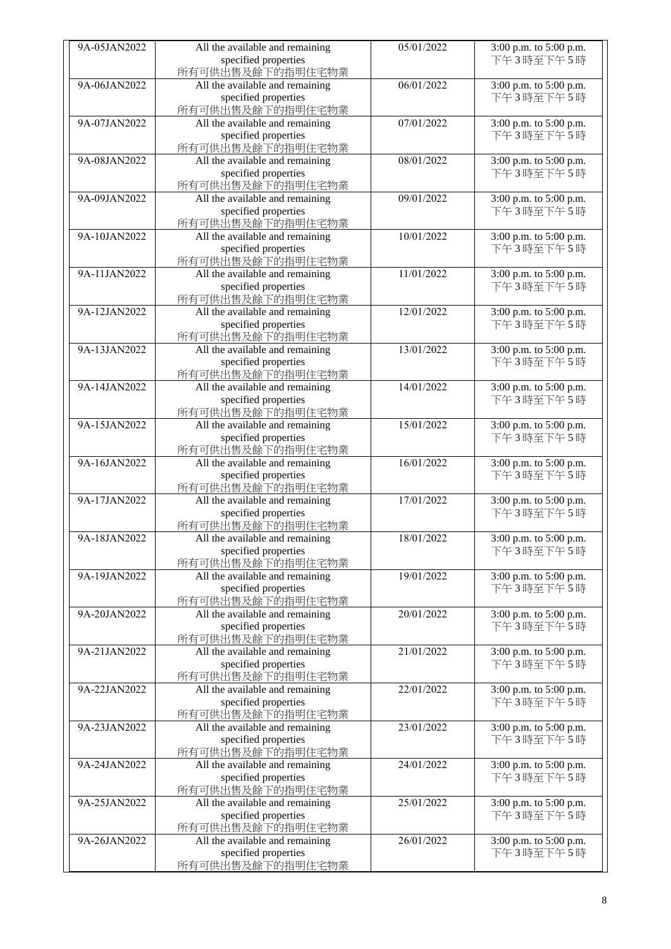| 9A-05JAN2022 | All the available and remaining          | 05/01/2022 | 3:00 p.m. to 5:00 p.m.              |
|--------------|------------------------------------------|------------|-------------------------------------|
|              | specified properties                     |            | 下午3時至下午5時                           |
|              | 所有可供出售及餘下的指明住宅物業                         |            |                                     |
| 9A-06JAN2022 | All the available and remaining          | 06/01/2022 | 3:00 p.m. to 5:00 p.m.              |
|              | specified properties                     |            | 下午3時至下午5時                           |
|              | 所有可供出售及餘下的指明住宅物業                         |            |                                     |
| 9A-07JAN2022 | All the available and remaining          | 07/01/2022 | 3:00 p.m. to 5:00 p.m.              |
|              | specified properties                     |            | 下午3時至下午5時                           |
|              | 所有可供出售及餘下的指明住宅物業                         |            |                                     |
| 9A-08JAN2022 | All the available and remaining          | 08/01/2022 | 3:00 p.m. to 5:00 p.m.              |
|              | specified properties                     |            | 下午3時至下午5時                           |
|              | 所有可供出售及餘下的指明住宅物業                         |            |                                     |
| 9A-09JAN2022 | All the available and remaining          | 09/01/2022 | 3:00 p.m. to 5:00 p.m.              |
|              | specified properties                     |            | 下午3時至下午5時                           |
|              | 所有可供出售及餘下的指明住宅物業                         |            |                                     |
| 9A-10JAN2022 | All the available and remaining          | 10/01/2022 | 3:00 p.m. to 5:00 p.m.              |
|              | specified properties                     |            | 下午3時至下午5時                           |
|              | 所有可供出售及餘下的指明住宅物業                         |            |                                     |
| 9A-11JAN2022 | All the available and remaining          | 11/01/2022 | 3:00 p.m. to 5:00 p.m.              |
|              | specified properties                     |            | 下午3時至下午5時                           |
|              | 所有可供出售及餘下的指明住宅物業                         |            |                                     |
| 9A-12JAN2022 | All the available and remaining          | 12/01/2022 | 3:00 p.m. to 5:00 p.m.              |
|              | specified properties                     |            | 下午3時至下午5時                           |
|              | 所有可供出售及餘下的指明住宅物業                         |            |                                     |
| 9A-13JAN2022 | All the available and remaining          | 13/01/2022 | 3:00 p.m. to 5:00 p.m.              |
|              | specified properties                     |            | 下午3時至下午5時                           |
|              | 所有可供出售及餘下的指明住宅物業                         |            |                                     |
| 9A-14JAN2022 | All the available and remaining          | 14/01/2022 | 3:00 p.m. to 5:00 p.m.              |
|              | specified properties                     |            | 下午3時至下午5時                           |
|              | 所有可供出售及餘下的指明住宅物業                         |            |                                     |
| 9A-15JAN2022 | All the available and remaining          | 15/01/2022 | 3:00 p.m. to 5:00 p.m.              |
|              | specified properties<br>所有可供出售及餘下的指明住宅物業 |            | 下午3時至下午5時                           |
| 9A-16JAN2022 | All the available and remaining          | 16/01/2022 | 3:00 p.m. to 5:00 p.m.              |
|              | specified properties                     |            | 下午3時至下午5時                           |
|              | 所有可供出售及餘下的指明住宅物業                         |            |                                     |
| 9A-17JAN2022 | All the available and remaining          | 17/01/2022 | 3:00 p.m. to 5:00 p.m.              |
|              | specified properties                     |            | 下午3時至下午5時                           |
|              | 所有可供出售及餘下的指明住宅物業                         |            |                                     |
| 9A-18JAN2022 | All the available and remaining          | 18/01/2022 | 3:00 p.m. to 5:00 p.m.              |
|              | specified properties                     |            | 下午3時至下午5時                           |
|              | 所有可供出售及餘下的指明住宅物業                         |            |                                     |
| 9A-19JAN2022 | All the available and remaining          | 19/01/2022 | 3:00 p.m. to 5:00 p.m.              |
|              | specified properties                     |            | 下午3時至下午5時                           |
|              | 所有可供出售及餘下的指明住宅物業                         |            |                                     |
| 9A-20JAN2022 | All the available and remaining          | 20/01/2022 | 3:00 p.m. to 5:00 p.m.              |
|              | specified properties                     |            | 下午3時至下午5時                           |
|              | 所有可供出售及餘下的指明住宅物業                         |            |                                     |
| 9A-21JAN2022 | All the available and remaining          | 21/01/2022 | 3:00 p.m. to 5:00 p.m.              |
|              | specified properties                     |            | 下午3時至下午5時                           |
|              | 所有可供出售及餘下的指明住宅物業                         |            |                                     |
| 9A-22JAN2022 | All the available and remaining          | 22/01/2022 | 3:00 p.m. to 5:00 p.m.              |
|              | specified properties                     |            | 下午3時至下午5時                           |
|              | 所有可供出售及餘下的指明住宅物業                         |            |                                     |
| 9A-23JAN2022 | All the available and remaining          | 23/01/2022 | 3:00 p.m. to 5:00 p.m.              |
|              | specified properties                     |            | 下午3時至下午5時                           |
|              | 所有可供出售及餘下的指明住宅物業                         |            |                                     |
| 9A-24JAN2022 | All the available and remaining          | 24/01/2022 | 3:00 p.m. to 5:00 p.m.              |
|              | specified properties                     |            | 下午3時至下午5時                           |
|              | 所有可供出售及餘下的指明住宅物業                         |            |                                     |
| 9A-25JAN2022 | All the available and remaining          | 25/01/2022 | 3:00 p.m. to 5:00 p.m.<br>下午3時至下午5時 |
|              | specified properties<br>所有可供出售及餘下的指明住宅物業 |            |                                     |
| 9A-26JAN2022 | All the available and remaining          | 26/01/2022 | 3:00 p.m. to 5:00 p.m.              |
|              | specified properties                     |            | 下午3時至下午5時                           |
|              | 所有可供出售及餘下的指明住宅物業                         |            |                                     |
|              |                                          |            |                                     |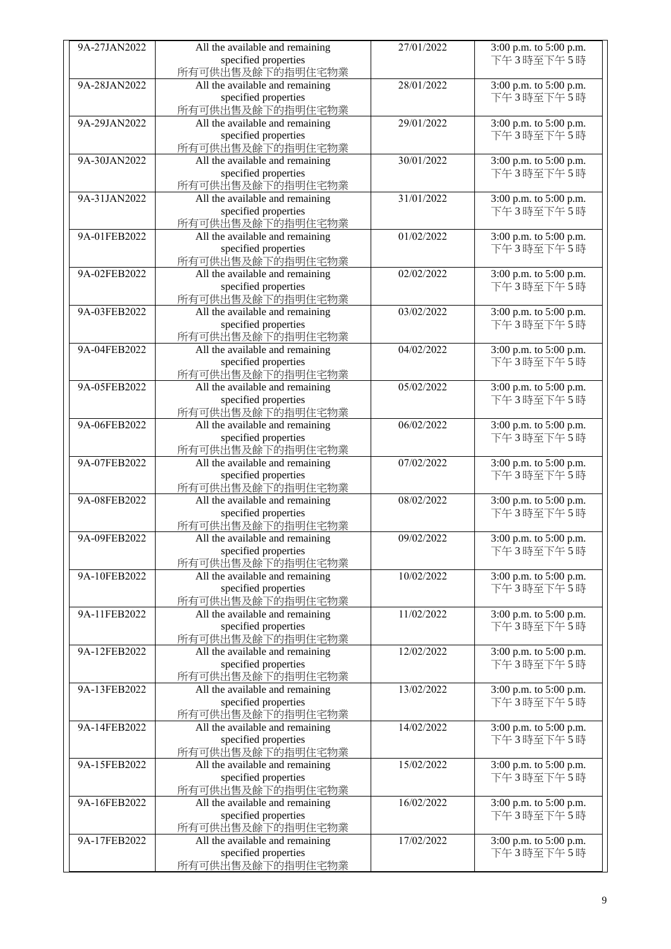| 9A-27JAN2022 | All the available and remaining | 27/01/2022 | 3:00 p.m. to 5:00 p.m. |
|--------------|---------------------------------|------------|------------------------|
|              | specified properties            |            | 下午3時至下午5時              |
|              | 所有可供出售及餘下的指明住宅物業                |            |                        |
| 9A-28JAN2022 | All the available and remaining | 28/01/2022 | 3:00 p.m. to 5:00 p.m. |
|              | specified properties            |            | 下午3時至下午5時              |
|              | 所有可供出售及餘下的指明住宅物業                |            |                        |
| 9A-29JAN2022 | All the available and remaining | 29/01/2022 | 3:00 p.m. to 5:00 p.m. |
|              | specified properties            |            | 下午3時至下午5時              |
|              | 所有可供出售及餘下的指明住宅物業                |            |                        |
| 9A-30JAN2022 | All the available and remaining | 30/01/2022 | 3:00 p.m. to 5:00 p.m. |
|              | specified properties            |            | 下午3時至下午5時              |
|              | 所有可供出售及餘下的指明住宅物業                |            |                        |
| 9A-31JAN2022 | All the available and remaining | 31/01/2022 | 3:00 p.m. to 5:00 p.m. |
|              | specified properties            |            | 下午3時至下午5時              |
|              |                                 |            |                        |
|              | 所有可供出售及餘下的指明住宅物業                |            |                        |
| 9A-01FEB2022 | All the available and remaining | 01/02/2022 | 3:00 p.m. to 5:00 p.m. |
|              | specified properties            |            | 下午3時至下午5時              |
|              | 所有可供出售及餘下的指明住宅物業                |            |                        |
| 9A-02FEB2022 | All the available and remaining | 02/02/2022 | 3:00 p.m. to 5:00 p.m. |
|              | specified properties            |            | 下午3時至下午5時              |
|              | 所有可供出售及餘下的指明住宅物業                |            |                        |
| 9A-03FEB2022 | All the available and remaining | 03/02/2022 | 3:00 p.m. to 5:00 p.m. |
|              | specified properties            |            | 下午3時至下午5時              |
|              | 所有可供出售及餘下的指明住宅物業                |            |                        |
| 9A-04FEB2022 | All the available and remaining | 04/02/2022 | 3:00 p.m. to 5:00 p.m. |
|              | specified properties            |            | 下午3時至下午5時              |
|              | 所有可供出售及餘下的指明住宅物業                |            |                        |
| 9A-05FEB2022 | All the available and remaining | 05/02/2022 | 3:00 p.m. to 5:00 p.m. |
|              | specified properties            |            | 下午3時至下午5時              |
|              | 所有可供出售及餘下的指明住宅物業                |            |                        |
| 9A-06FEB2022 | All the available and remaining | 06/02/2022 | 3:00 p.m. to 5:00 p.m. |
|              | specified properties            |            | 下午3時至下午5時              |
|              | 所有可供出售及餘下的指明住宅物業                |            |                        |
| 9A-07FEB2022 | All the available and remaining | 07/02/2022 | 3:00 p.m. to 5:00 p.m. |
|              | specified properties            |            | 下午3時至下午5時              |
|              |                                 |            |                        |
| 9A-08FEB2022 | 所有可供出售及餘下的指明住宅物業                | 08/02/2022 | 3:00 p.m. to 5:00 p.m. |
|              | All the available and remaining |            |                        |
|              | specified properties            |            | 下午3時至下午5時              |
|              | 所有可供出售及餘下的指明住宅物業                |            |                        |
| 9A-09FEB2022 | All the available and remaining | 09/02/2022 | 3:00 p.m. to 5:00 p.m. |
|              | specified properties            |            | 下午3時至下午5時              |
|              | 所有可供出售及餘下的指明住宅物業                |            |                        |
| 9A-10FEB2022 | All the available and remaining | 10/02/2022 | 3:00 p.m. to 5:00 p.m. |
|              | specified properties            |            | 下午3時至下午5時              |
|              | 所有可供出售及餘下的指明住宅物業                |            |                        |
| 9A-11FEB2022 | All the available and remaining | 11/02/2022 | 3:00 p.m. to 5:00 p.m. |
|              | specified properties            |            | 下午3時至下午5時              |
|              | 所有可供出售及餘下的指明住宅物業                |            |                        |
| 9A-12FEB2022 | All the available and remaining | 12/02/2022 | 3:00 p.m. to 5:00 p.m. |
|              | specified properties            |            | 下午3時至下午5時              |
|              | 所有可供出售及餘下的指明住宅物業                |            |                        |
| 9A-13FEB2022 | All the available and remaining | 13/02/2022 | 3:00 p.m. to 5:00 p.m. |
|              | specified properties            |            | 下午3時至下午5時              |
|              | 所有可供出售及餘下的指明住宅物業                |            |                        |
| 9A-14FEB2022 | All the available and remaining | 14/02/2022 | 3:00 p.m. to 5:00 p.m. |
|              | specified properties            |            | 下午3時至下午5時              |
|              | 所有可供出售及餘下的指明住宅物業                |            |                        |
| 9A-15FEB2022 | All the available and remaining | 15/02/2022 | 3:00 p.m. to 5:00 p.m. |
|              | specified properties            |            | 下午3時至下午5時              |
|              | 所有可供出售及餘下的指明住宅物業                |            |                        |
| 9A-16FEB2022 | All the available and remaining | 16/02/2022 | 3:00 p.m. to 5:00 p.m. |
|              | specified properties            |            | 下午3時至下午5時              |
|              | 所有可供出售及餘下的指明住宅物業                |            |                        |
| 9A-17FEB2022 | All the available and remaining | 17/02/2022 | 3:00 p.m. to 5:00 p.m. |
|              | specified properties            |            | 下午3時至下午5時              |
|              |                                 |            |                        |
|              | 所有可供出售及餘下的指明住宅物業                |            |                        |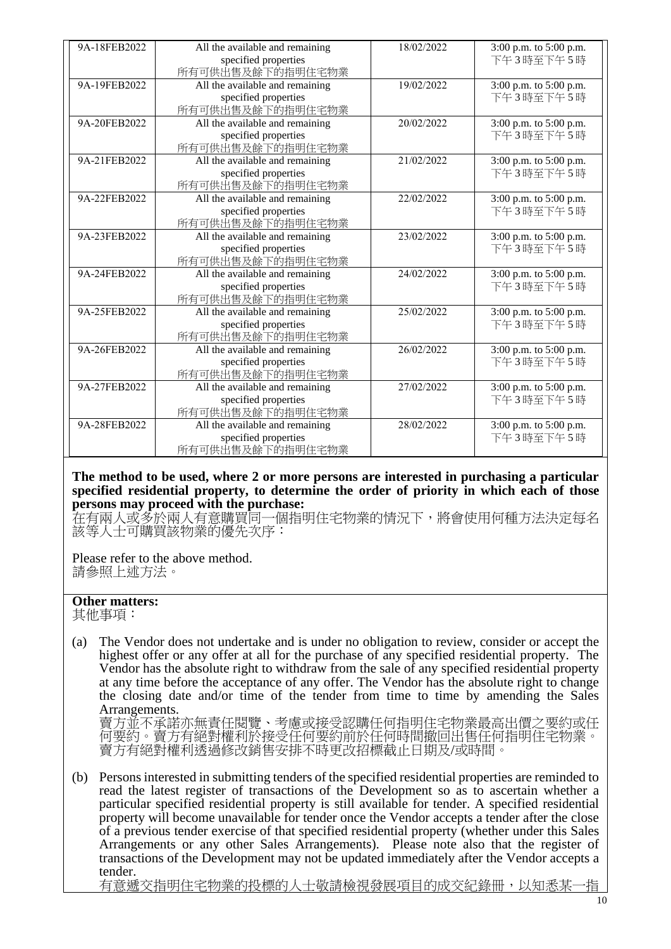| 9A-18FEB2022 | All the available and remaining | 18/02/2022 | 3:00 p.m. to 5:00 p.m. |
|--------------|---------------------------------|------------|------------------------|
|              | specified properties            |            | 下午3時至下午5時              |
|              | 所有可供出售及餘下的指明住宅物業                |            |                        |
| 9A-19FEB2022 | All the available and remaining | 19/02/2022 | 3:00 p.m. to 5:00 p.m. |
|              | specified properties            |            | 下午3時至下午5時              |
|              | 所有可供出售及餘下的指明住宅物業                |            |                        |
| 9A-20FEB2022 | All the available and remaining | 20/02/2022 | 3:00 p.m. to 5:00 p.m. |
|              | specified properties            |            | 下午3時至下午5時              |
|              | 所有可供出售及餘下的指明住宅物業                |            |                        |
| 9A-21FEB2022 | All the available and remaining | 21/02/2022 | 3:00 p.m. to 5:00 p.m. |
|              | specified properties            |            | 下午3時至下午5時              |
|              | 所有可供出售及餘下的指明住宅物業                |            |                        |
| 9A-22FEB2022 | All the available and remaining | 22/02/2022 | 3:00 p.m. to 5:00 p.m. |
|              | specified properties            |            | 下午3時至下午5時              |
|              | 所有可供出售及餘下的指明住宅物業                |            |                        |
| 9A-23FEB2022 | All the available and remaining | 23/02/2022 | 3:00 p.m. to 5:00 p.m. |
|              | specified properties            |            | 下午3時至下午5時              |
|              | 所有可供出售及餘下的指明住宅物業                |            |                        |
| 9A-24FEB2022 | All the available and remaining | 24/02/2022 | 3:00 p.m. to 5:00 p.m. |
|              | specified properties            |            | 下午3時至下午5時              |
|              | 所有可供出售及餘下的指明住宅物業                |            |                        |
| 9A-25FEB2022 | All the available and remaining | 25/02/2022 | 3:00 p.m. to 5:00 p.m. |
|              | specified properties            |            | 下午3時至下午5時              |
|              | 所有可供出售及餘下的指明住宅物業                |            |                        |
| 9A-26FEB2022 | All the available and remaining | 26/02/2022 | 3:00 p.m. to 5:00 p.m. |
|              | specified properties            |            | 下午3時至下午5時              |
|              | 所有可供出售及餘下的指明住宅物業                |            |                        |
| 9A-27FEB2022 | All the available and remaining | 27/02/2022 | 3:00 p.m. to 5:00 p.m. |
|              | specified properties            |            | 下午3時至下午5時              |
|              | 所有可供出售及餘下的指明住宅物業                |            |                        |
| 9A-28FEB2022 | All the available and remaining | 28/02/2022 | 3:00 p.m. to 5:00 p.m. |
|              | specified properties            |            | 下午3時至下午5時              |
|              | 所有可供出售及餘下的指明住宅物業                |            |                        |

**The method to be used, where 2 or more persons are interested in purchasing a particular specified residential property, to determine the order of priority in which each of those persons may proceed with the purchase:**

在有兩人或多於兩人有意購買同一個指明住宅物業的情況下,將會使用何種方法決定每名 該等人士可購買該物業的優先次序:

Please refer to the above method. 請參照上述方法。

## **Other matters:**

其他事項:

(a) The Vendor does not undertake and is under no obligation to review, consider or accept the highest offer or any offer at all for the purchase of any specified residential property. The Vendor has the absolute right to withdraw from the sale of any specified residential property at any time before the acceptance of any offer. The Vendor has the absolute right to change the closing date and/or time of the tender from time to time by amending the Sales Arrangements.

賣方並不承諾亦無責任閱覽、考慮或接受認購任何指明住宅物業最高出價之要約或任 何要約。賣方有絕對權利於接受任何要約前於任何時間撤回出售任何指明住宅物業。 賣方有絕對權利透過修改銷售安排不時更改招標截止日期及/或時間。

(b) Persons interested in submitting tenders of the specified residential properties are reminded to read the latest register of transactions of the Development so as to ascertain whether a particular specified residential property is still available for tender. A specified residential property will become unavailable for tender once the Vendor accepts a tender after the close of a previous tender exercise of that specified residential property (whether under this Sales Arrangements or any other Sales Arrangements). Please note also that the register of transactions of the Development may not be updated immediately after the Vendor accepts a tender.

有意遞交指明住宅物業的投標的人士敬請檢視發展項目的成交紀錄冊,以知悉,